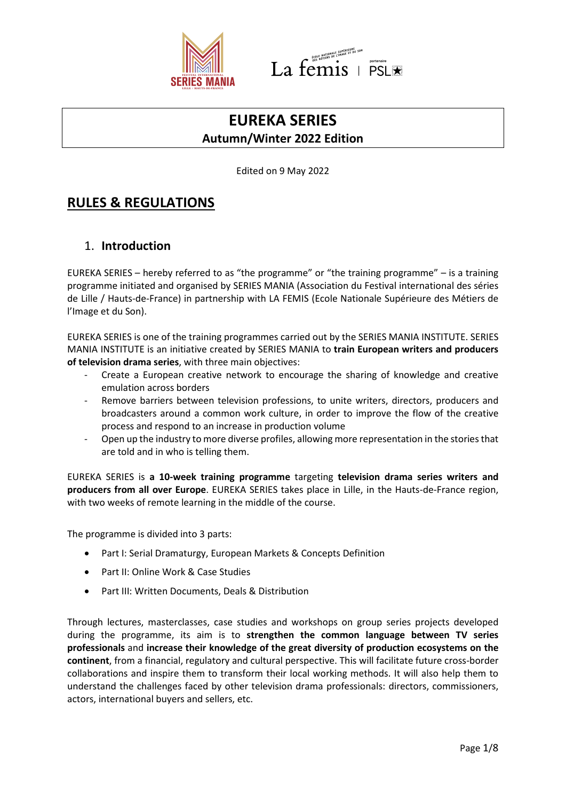



# **EUREKA SERIES Autumn/Winter 2022 Edition**

Edited on 9 May 2022

# **RULES & REGULATIONS**

## 1. **Introduction**

EUREKA SERIES – hereby referred to as "the programme" or "the training programme" – is a training programme initiated and organised by SERIES MANIA (Association du Festival international des séries de Lille / Hauts-de-France) in partnership with LA FEMIS (Ecole Nationale Supérieure des Métiers de l'Image et du Son).

EUREKA SERIES is one of the training programmes carried out by the SERIES MANIA INSTITUTE. SERIES MANIA INSTITUTE is an initiative created by SERIES MANIA to **train European writers and producers of television drama series**, with three main objectives:

- Create a European creative network to encourage the sharing of knowledge and creative emulation across borders
- Remove barriers between television professions, to unite writers, directors, producers and broadcasters around a common work culture, in order to improve the flow of the creative process and respond to an increase in production volume
- Open up the industry to more diverse profiles, allowing more representation in the stories that are told and in who is telling them.

EUREKA SERIES is **a 10-week training programme** targeting **television drama series writers and producers from all over Europe**. EUREKA SERIES takes place in Lille, in the Hauts-de-France region, with two weeks of remote learning in the middle of the course.

The programme is divided into 3 parts:

- Part I: Serial Dramaturgy, European Markets & Concepts Definition
- Part II: Online Work & Case Studies
- Part III: Written Documents, Deals & Distribution

Through lectures, masterclasses, case studies and workshops on group series projects developed during the programme, its aim is to **strengthen the common language between TV series professionals** and **increase their knowledge of the great diversity of production ecosystems on the continent**, from a financial, regulatory and cultural perspective. This will facilitate future cross-border collaborations and inspire them to transform their local working methods. It will also help them to understand the challenges faced by other television drama professionals: directors, commissioners, actors, international buyers and sellers, etc.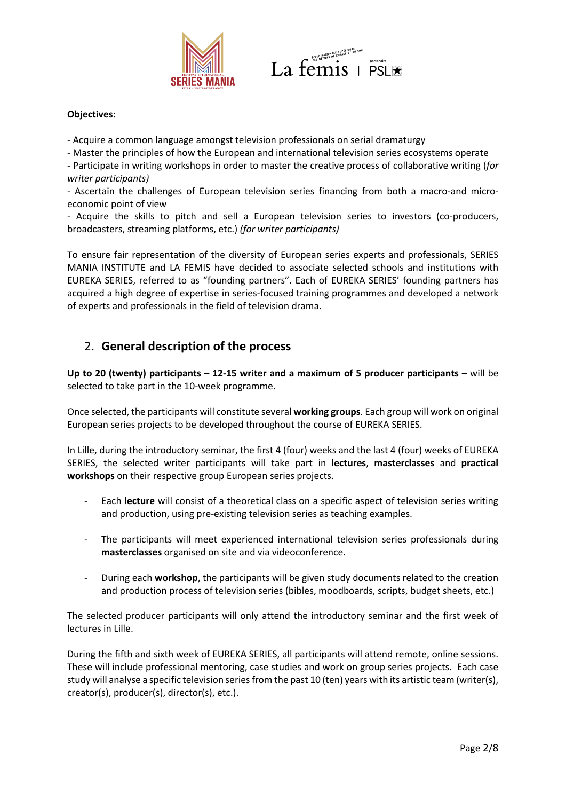



#### **Objectives:**

- Acquire a common language amongst television professionals on serial dramaturgy

- Master the principles of how the European and international television series ecosystems operate

- Participate in writing workshops in order to master the creative process of collaborative writing (*for writer participants)*

- Ascertain the challenges of European television series financing from both a macro-and microeconomic point of view

- Acquire the skills to pitch and sell a European television series to investors (co-producers, broadcasters, streaming platforms, etc.) *(for writer participants)*

To ensure fair representation of the diversity of European series experts and professionals, SERIES MANIA INSTITUTE and LA FEMIS have decided to associate selected schools and institutions with EUREKA SERIES, referred to as "founding partners". Each of EUREKA SERIES' founding partners has acquired a high degree of expertise in series-focused training programmes and developed a network of experts and professionals in the field of television drama.

## 2. **General description of the process**

**Up to 20 (twenty) participants – 12-15 writer and a maximum of 5 producer participants –** will be selected to take part in the 10-week programme.

Once selected, the participants will constitute several **working groups**. Each group will work on original European series projects to be developed throughout the course of EUREKA SERIES.

In Lille, during the introductory seminar, the first 4 (four) weeks and the last 4 (four) weeks of EUREKA SERIES, the selected writer participants will take part in **lectures**, **masterclasses** and **practical workshops** on their respective group European series projects.

- Each **lecture** will consist of a theoretical class on a specific aspect of television series writing and production, using pre-existing television series as teaching examples.
- The participants will meet experienced international television series professionals during **masterclasses** organised on site and via videoconference.
- During each **workshop**, the participants will be given study documents related to the creation and production process of television series (bibles, moodboards, scripts, budget sheets, etc.)

The selected producer participants will only attend the introductory seminar and the first week of lectures in Lille.

During the fifth and sixth week of EUREKA SERIES, all participants will attend remote, online sessions. These will include professional mentoring, case studies and work on group series projects. Each case study will analyse a specific television series from the past 10 (ten) years with its artistic team (writer(s), creator(s), producer(s), director(s), etc.).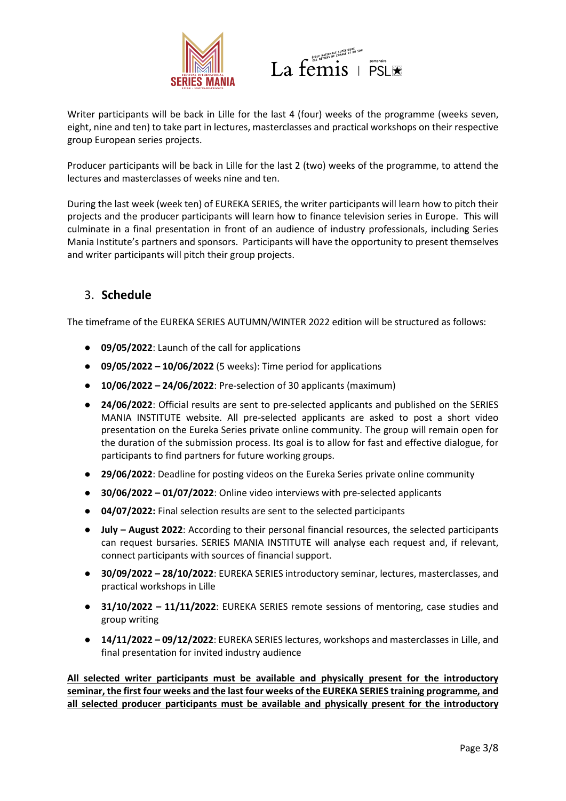



Writer participants will be back in Lille for the last 4 (four) weeks of the programme (weeks seven, eight, nine and ten) to take part in lectures, masterclasses and practical workshops on their respective group European series projects.

Producer participants will be back in Lille for the last 2 (two) weeks of the programme, to attend the lectures and masterclasses of weeks nine and ten.

During the last week (week ten) of EUREKA SERIES, the writer participants will learn how to pitch their projects and the producer participants will learn how to finance television series in Europe. This will culminate in a final presentation in front of an audience of industry professionals, including Series Mania Institute's partners and sponsors. Participants will have the opportunity to present themselves and writer participants will pitch their group projects.

### 3. **Schedule**

The timeframe of the EUREKA SERIES AUTUMN/WINTER 2022 edition will be structured as follows:

- **09/05/2022**: Launch of the call for applications
- **09/05/2022 10/06/2022** (5 weeks): Time period for applications
- **10/06/2022 24/06/2022**: Pre-selection of 30 applicants (maximum)
- **24/06/2022**: Official results are sent to pre-selected applicants and published on the SERIES MANIA INSTITUTE website. All pre-selected applicants are asked to post a short video presentation on the Eureka Series private online community. The group will remain open for the duration of the submission process. Its goal is to allow for fast and effective dialogue, for participants to find partners for future working groups.
- **29/06/2022**: Deadline for posting videos on the Eureka Series private online community
- **30/06/2022 01/07/2022**: Online video interviews with pre-selected applicants
- **04/07/2022:** Final selection results are sent to the selected participants
- **July August 2022**: According to their personal financial resources, the selected participants can request bursaries. SERIES MANIA INSTITUTE will analyse each request and, if relevant, connect participants with sources of financial support.
- **30/09/2022 28/10/2022**: EUREKA SERIES introductory seminar, lectures, masterclasses, and practical workshops in Lille
- **31/10/2022 11/11/2022**: EUREKA SERIES remote sessions of mentoring, case studies and group writing
- **14/11/2022 09/12/2022**: EUREKA SERIES lectures, workshops and masterclasses in Lille, and final presentation for invited industry audience

**All selected writer participants must be available and physically present for the introductory seminar, the first four weeks and the last four weeks of the EUREKA SERIES training programme, and all selected producer participants must be available and physically present for the introductory**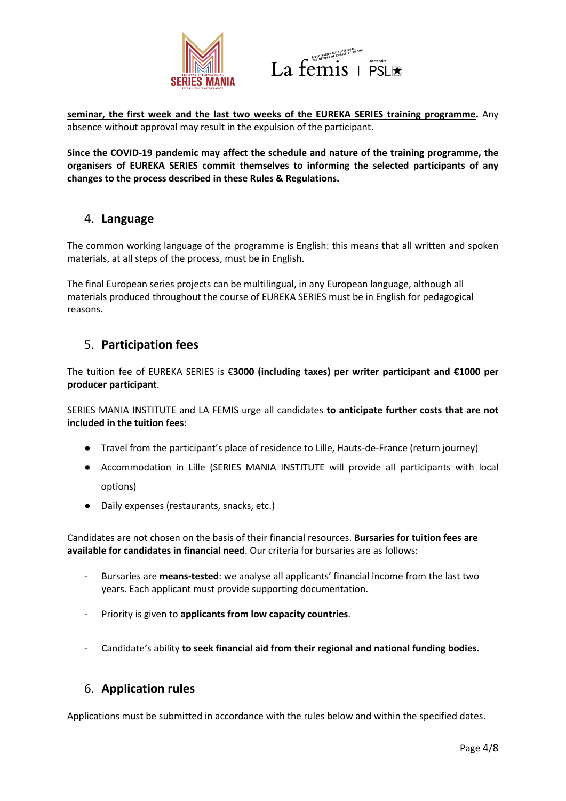



**seminar, the first week and the last two weeks of the EUREKA SERIES training programme.** Any absence without approval may result in the expulsion of the participant.

**Since the COVID-19 pandemic may affect the schedule and nature of the training programme, the organisers of EUREKA SERIES commit themselves to informing the selected participants of any changes to the process described in these Rules & Regulations.**

### 4. **Language**

The common working language of the programme is English: this means that all written and spoken materials, at all steps of the process, must be in English.

The final European series projects can be multilingual, in any European language, although all materials produced throughout the course of EUREKA SERIES must be in English for pedagogical reasons.

### 5. **Participation fees**

The tuition fee of EUREKA SERIES is €**3000 (including taxes) per writer participant and €1000 per producer participant**.

SERIES MANIA INSTITUTE and LA FEMIS urge all candidates **to anticipate further costs that are not included in the tuition fees**:

- Travel from the participant's place of residence to Lille, Hauts-de-France (return journey)
- Accommodation in Lille (SERIES MANIA INSTITUTE will provide all participants with local options)
- Daily expenses (restaurants, snacks, etc.)

Candidates are not chosen on the basis of their financial resources. **Bursaries for tuition fees are available for candidates in financial need**. Our criteria for bursaries are as follows:

- Bursaries are **means-tested**: we analyse all applicants' financial income from the last two years. Each applicant must provide supporting documentation.
- Priority is given to **applicants from low capacity countries**.
- Candidate's ability **to seek financial aid from their regional and national funding bodies.**

### 6. **Application rules**

Applications must be submitted in accordance with the rules below and within the specified dates.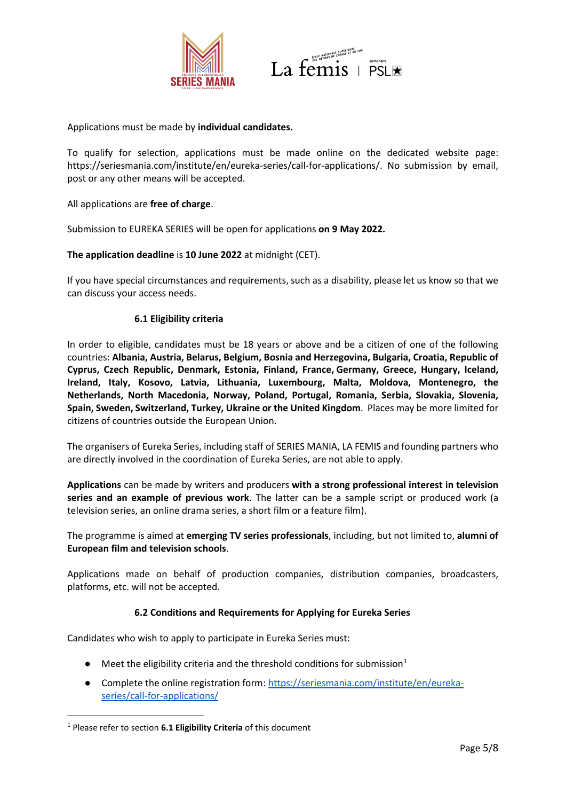



Applications must be made by **individual candidates.**

To qualify for selection, applications must be made online on the dedicated website page: https://seriesmania.com/institute/en/eureka-series/call-for-applications/. No submission by email, post or any other means will be accepted.

All applications are **free of charge**.

Submission to EUREKA SERIES will be open for applications **on 9 May 2022.** 

#### **The application deadline** is **10 June 2022** at midnight (CET).

If you have special circumstances and requirements, such as a disability, please let us know so that we can discuss your access needs.

#### **6.1 Eligibility criteria**

In order to eligible, candidates must be 18 years or above and be a citizen of one of the following countries: **Albania, Austria, Belarus, Belgium, Bosnia and Herzegovina, Bulgaria, Croatia, Republic of Cyprus, Czech Republic, Denmark, Estonia, Finland, France, Germany, Greece, Hungary, Iceland, Ireland, Italy, Kosovo, Latvia, Lithuania, Luxembourg, Malta, Moldova, Montenegro, the Netherlands, North Macedonia, Norway, Poland, Portugal, Romania, Serbia, Slovakia, Slovenia, Spain, Sweden, Switzerland, Turkey, Ukraine or the United Kingdom**. Places may be more limited for citizens of countries outside the European Union.

The organisers of Eureka Series, including staff of SERIES MANIA, LA FEMIS and founding partners who are directly involved in the coordination of Eureka Series, are not able to apply.

**Applications** can be made by writers and producers **with a strong professional interest in television series and an example of previous work**. The latter can be a sample script or produced work (a television series, an online drama series, a short film or a feature film).

The programme is aimed at **emerging TV series professionals**, including, but not limited to, **alumni of European film and television schools**.

Applications made on behalf of production companies, distribution companies, broadcasters, platforms, etc. will not be accepted.

#### **6.2 Conditions and Requirements for Applying for Eureka Series**

Candidates who wish to apply to participate in Eureka Series must:

- $\bullet$  Meet the eligibility criteria and the threshold conditions for submission<sup>[1](#page-4-0)</sup>
- Complete the online registration form: [https://seriesmania.com/institute/en/eureka](https://seriesmania.com/institute/en/eureka-series/call-for-applications/)[series/call-for-applications/](https://seriesmania.com/institute/en/eureka-series/call-for-applications/)

<span id="page-4-0"></span><sup>1</sup> Please refer to section **6.1 Eligibility Criteria** of this document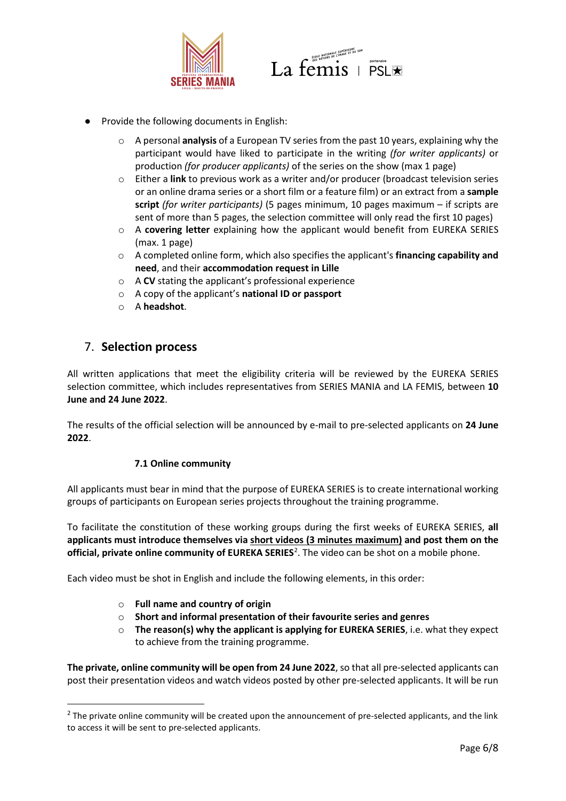



- Provide the following documents in English:
	- o A personal **analysis** of a European TV series from the past 10 years, explaining why the participant would have liked to participate in the writing *(for writer applicants)* or production *(for producer applicants)* of the series on the show (max 1 page)
	- o Either a **link** to previous work as a writer and/or producer (broadcast television series or an online drama series or a short film or a feature film) or an extract from a **sample script** *(for writer participants)* (5 pages minimum, 10 pages maximum – if scripts are sent of more than 5 pages, the selection committee will only read the first 10 pages)
	- o A **covering letter** explaining how the applicant would benefit from EUREKA SERIES (max. 1 page)
	- o A completed online form, which also specifies the applicant's **financing capability and need**, and their **accommodation request in Lille**
	- o A **CV** stating the applicant's professional experience
	- o A copy of the applicant's **national ID or passport**
	- o A **headshot**.

### 7. **Selection process**

All written applications that meet the eligibility criteria will be reviewed by the EUREKA SERIES selection committee, which includes representatives from SERIES MANIA and LA FEMIS, between **10 June and 24 June 2022**.

The results of the official selection will be announced by e-mail to pre-selected applicants on **24 June 2022**.

#### **7.1 Online community**

All applicants must bear in mind that the purpose of EUREKA SERIES is to create international working groups of participants on European series projects throughout the training programme.

To facilitate the constitution of these working groups during the first weeks of EUREKA SERIES, **all applicants must introduce themselves via short videos (3 minutes maximum) and post them on the**  official, private online community of EUREKA SERIES<sup>[2](#page-5-0)</sup>. The video can be shot on a mobile phone.

Each video must be shot in English and include the following elements, in this order:

- o **Full name and country of origin**
- o **Short and informal presentation of their favourite series and genres**
- o **The reason(s) why the applicant is applying for EUREKA SERIES**, i.e. what they expect to achieve from the training programme.

**The private, online community will be open from 24 June 2022**, so that all pre-selected applicants can post their presentation videos and watch videos posted by other pre-selected applicants. It will be run

<span id="page-5-0"></span><sup>&</sup>lt;sup>2</sup> The private online community will be created upon the announcement of pre-selected applicants, and the link to access it will be sent to pre-selected applicants.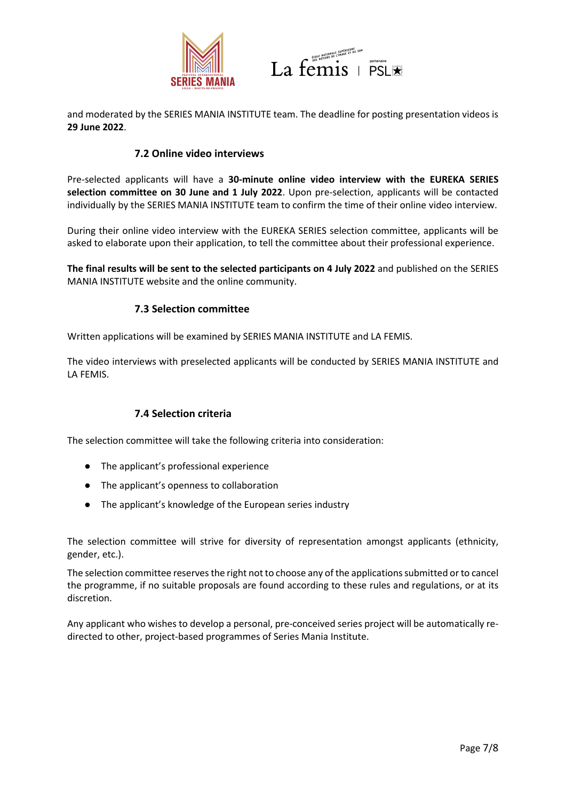



and moderated by the SERIES MANIA INSTITUTE team. The deadline for posting presentation videos is **29 June 2022**.

#### **7.2 Online video interviews**

Pre-selected applicants will have a **30-minute online video interview with the EUREKA SERIES selection committee on 30 June and 1 July 2022**. Upon pre-selection, applicants will be contacted individually by the SERIES MANIA INSTITUTE team to confirm the time of their online video interview.

During their online video interview with the EUREKA SERIES selection committee, applicants will be asked to elaborate upon their application, to tell the committee about their professional experience.

**The final results will be sent to the selected participants on 4 July 2022** and published on the SERIES MANIA INSTITUTE website and the online community.

#### **7.3 Selection committee**

Written applications will be examined by SERIES MANIA INSTITUTE and LA FEMIS.

The video interviews with preselected applicants will be conducted by SERIES MANIA INSTITUTE and LA FEMIS.

#### **7.4 Selection criteria**

The selection committee will take the following criteria into consideration:

- The applicant's professional experience
- The applicant's openness to collaboration
- The applicant's knowledge of the European series industry

The selection committee will strive for diversity of representation amongst applicants (ethnicity, gender, etc.).

The selection committee reserves the right not to choose any of the applications submitted or to cancel the programme, if no suitable proposals are found according to these rules and regulations, or at its discretion.

Any applicant who wishes to develop a personal, pre-conceived series project will be automatically redirected to other, project-based programmes of Series Mania Institute.